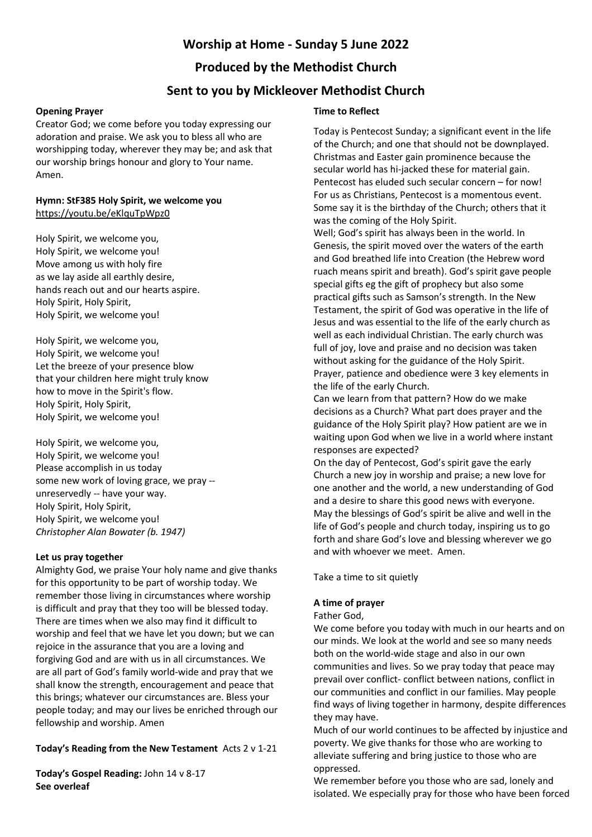## **Worship at Home - Sunday 5 June 2022**

# **Produced by the Methodist Church**

## **Sent to you by Mickleover Methodist Church**

## **Opening Prayer**

Creator God; we come before you today expressing our adoration and praise. We ask you to bless all who are worshipping today, wherever they may be; and ask that our worship brings honour and glory to Your name. Amen.

### **Hymn: StF385 Holy Spirit, we welcome you** <https://youtu.be/eKlquTpWpz0>

Holy Spirit, we welcome you, Holy Spirit, we welcome you! Move among us with holy fire as we lay aside all earthly desire, hands reach out and our hearts aspire. Holy Spirit, Holy Spirit, Holy Spirit, we welcome you!

Holy Spirit, we welcome you, Holy Spirit, we welcome you! Let the breeze of your presence blow that your children here might truly know how to move in the Spirit's flow. Holy Spirit, Holy Spirit, Holy Spirit, we welcome you!

Holy Spirit, we welcome you, Holy Spirit, we welcome you! Please accomplish in us today some new work of loving grace, we pray - unreservedly -- have your way. Holy Spirit, Holy Spirit, Holy Spirit, we welcome you! *Christopher Alan Bowater (b. 1947)*

## **Let us pray together**

Almighty God, we praise Your holy name and give thanks for this opportunity to be part of worship today. We remember those living in circumstances where worship is difficult and pray that they too will be blessed today. There are times when we also may find it difficult to worship and feel that we have let you down; but we can rejoice in the assurance that you are a loving and forgiving God and are with us in all circumstances. We are all part of God's family world-wide and pray that we shall know the strength, encouragement and peace that this brings; whatever our circumstances are. Bless your people today; and may our lives be enriched through our fellowship and worship. Amen

## **Today's Reading from the New Testament** Acts 2 v 1-21

**Today's Gospel Reading:** John 14 v 8-17 **See overleaf**

## **Time to Reflect**

Today is Pentecost Sunday; a significant event in the life of the Church; and one that should not be downplayed. Christmas and Easter gain prominence because the secular world has hi-jacked these for material gain. Pentecost has eluded such secular concern – for now! For us as Christians, Pentecost is a momentous event. Some say it is the birthday of the Church; others that it was the coming of the Holy Spirit.

Well; God's spirit has always been in the world. In Genesis, the spirit moved over the waters of the earth and God breathed life into Creation (the Hebrew word ruach means spirit and breath). God's spirit gave people special gifts eg the gift of prophecy but also some practical gifts such as Samson's strength. In the New Testament, the spirit of God was operative in the life of Jesus and was essential to the life of the early church as well as each individual Christian. The early church was full of joy, love and praise and no decision was taken without asking for the guidance of the Holy Spirit. Prayer, patience and obedience were 3 key elements in the life of the early Church.

Can we learn from that pattern? How do we make decisions as a Church? What part does prayer and the guidance of the Holy Spirit play? How patient are we in waiting upon God when we live in a world where instant responses are expected?

On the day of Pentecost, God's spirit gave the early Church a new joy in worship and praise; a new love for one another and the world, a new understanding of God and a desire to share this good news with everyone. May the blessings of God's spirit be alive and well in the life of God's people and church today, inspiring us to go forth and share God's love and blessing wherever we go and with whoever we meet. Amen.

Take a time to sit quietly

## **A time of prayer**

## Father God,

We come before you today with much in our hearts and on our minds. We look at the world and see so many needs both on the world-wide stage and also in our own communities and lives. So we pray today that peace may prevail over conflict- conflict between nations, conflict in our communities and conflict in our families. May people find ways of living together in harmony, despite differences they may have.

Much of our world continues to be affected by injustice and poverty. We give thanks for those who are working to alleviate suffering and bring justice to those who are oppressed.

We remember before you those who are sad, lonely and isolated. We especially pray for those who have been forced